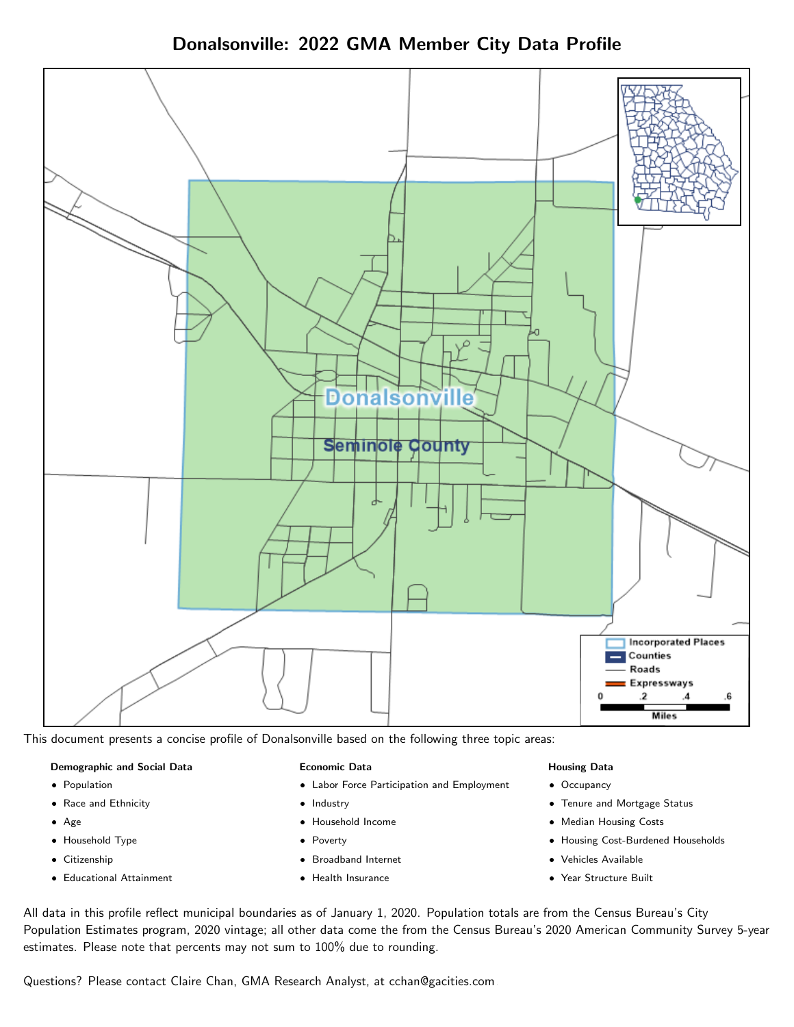



This document presents a concise profile of Donalsonville based on the following three topic areas:

### Demographic and Social Data

- **•** Population
- Race and Ethnicity
- Age
- Household Type
- **Citizenship**
- Educational Attainment

#### Economic Data

- Labor Force Participation and Employment
- Industry
- Household Income
- Poverty
- Broadband Internet
- Health Insurance

### Housing Data

- Occupancy
- Tenure and Mortgage Status
- Median Housing Costs
- Housing Cost-Burdened Households
- Vehicles Available
- Year Structure Built

All data in this profile reflect municipal boundaries as of January 1, 2020. Population totals are from the Census Bureau's City Population Estimates program, 2020 vintage; all other data come the from the Census Bureau's 2020 American Community Survey 5-year estimates. Please note that percents may not sum to 100% due to rounding.

Questions? Please contact Claire Chan, GMA Research Analyst, at [cchan@gacities.com.](mailto:cchan@gacities.com)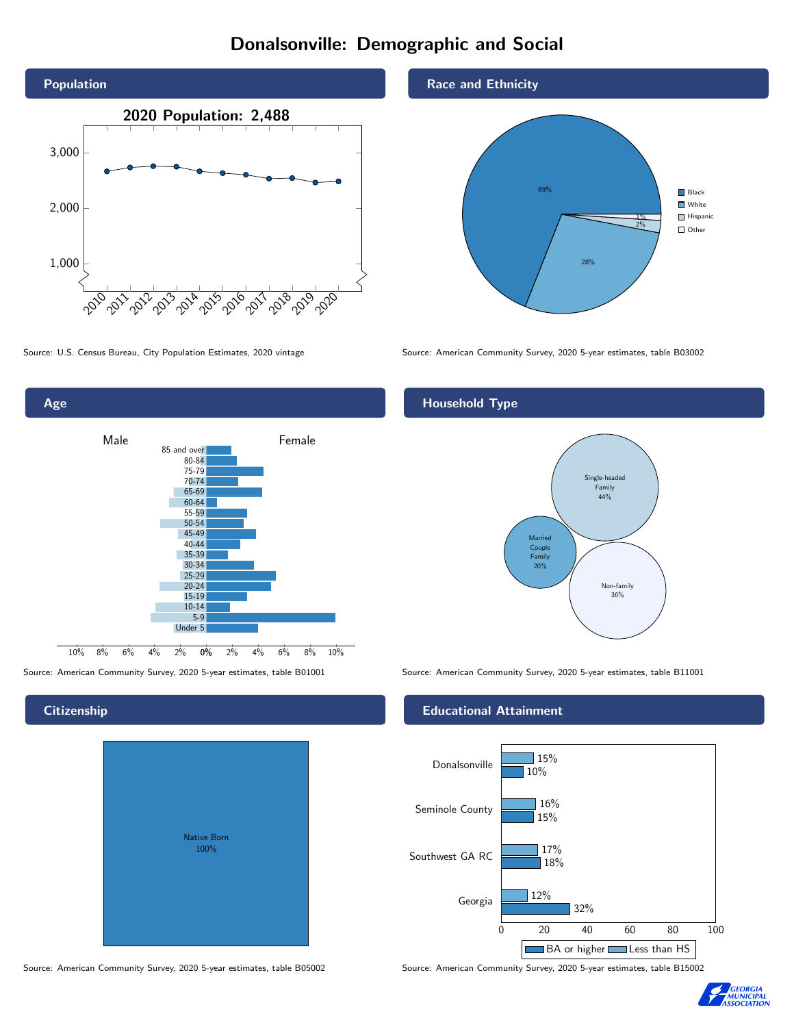# Donalsonville: Demographic and Social





**Citizenship** 

| Native Born<br>100% |  |
|---------------------|--|

Race and Ethnicity



Source: U.S. Census Bureau, City Population Estimates, 2020 vintage Source: American Community Survey, 2020 5-year estimates, table B03002

### Household Type



Source: American Community Survey, 2020 5-year estimates, table B01001 Source: American Community Survey, 2020 5-year estimates, table B11001

#### Educational Attainment



Source: American Community Survey, 2020 5-year estimates, table B05002 Source: American Community Survey, 2020 5-year estimates, table B15002

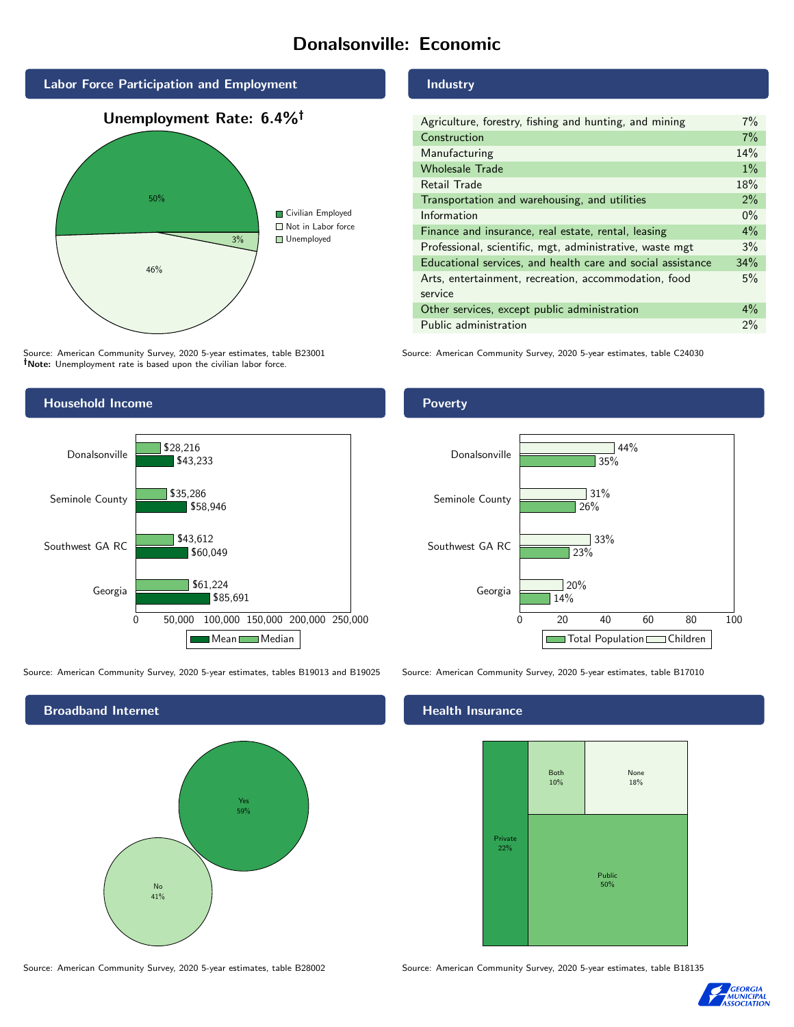# Donalsonville: Economic



Source: American Community Survey, 2020 5-year estimates, table B23001 Note: Unemployment rate is based upon the civilian labor force.

### Industry

| Agriculture, forestry, fishing and hunting, and mining      | $7\%$ |
|-------------------------------------------------------------|-------|
| Construction                                                | 7%    |
| Manufacturing                                               | 14%   |
| <b>Wholesale Trade</b>                                      | $1\%$ |
| Retail Trade                                                | 18%   |
| Transportation and warehousing, and utilities               | 2%    |
| Information                                                 | $0\%$ |
| Finance and insurance, real estate, rental, leasing         | $4\%$ |
| Professional, scientific, mgt, administrative, waste mgt    | 3%    |
| Educational services, and health care and social assistance | 34%   |
| Arts, entertainment, recreation, accommodation, food        |       |
| service                                                     |       |
| Other services, except public administration                |       |
| Public administration                                       | 2%    |

Source: American Community Survey, 2020 5-year estimates, table C24030



Source: American Community Survey, 2020 5-year estimates, tables B19013 and B19025 Source: American Community Survey, 2020 5-year estimates, table B17010



Poverty



#### Health Insurance



Source: American Community Survey, 2020 5-year estimates, table B28002 Source: American Community Survey, 2020 5-year estimates, table B18135